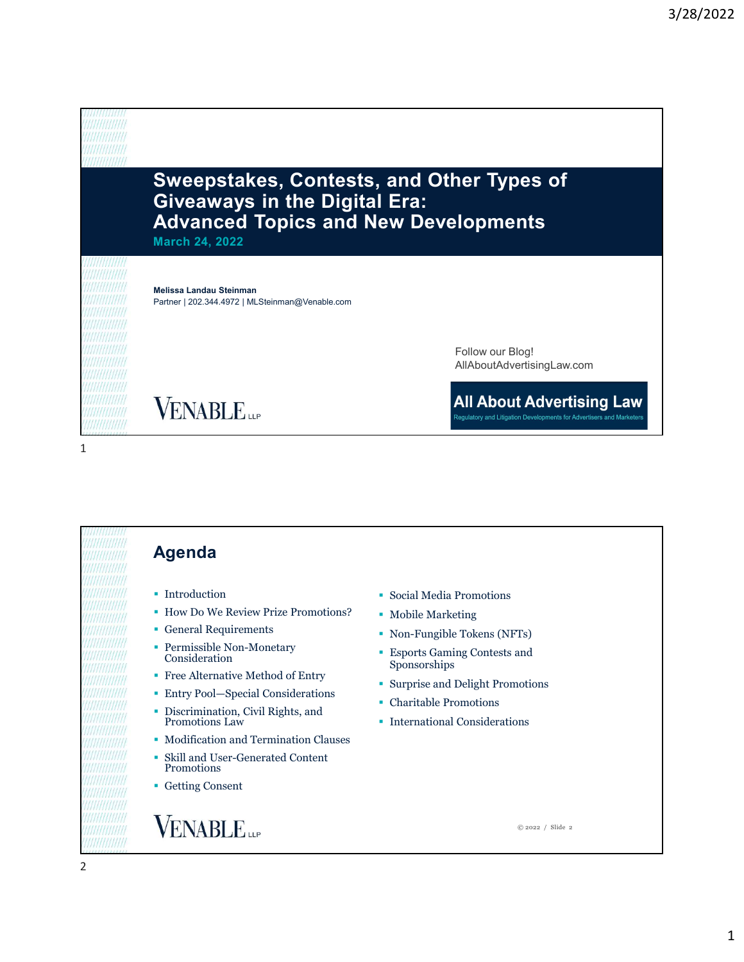# Sweepstakes, Contests, and Other Types of Giveaways in the Digital Era: Advanced Topics and New Developments

March 24, 2022

Melissa Landau Steinman Partner | 202.344.4972 | MLSteinman@Venable.com

> Follow our Blog! AllAboutAdvertisingLaw.com

**All About Advertising Law** 

Regulatory and Litigation Developments for Advertisers and Marketers

**VENABLE** 

### $1$

Agenda Introduction Social Media Promotions How Do We Review Prize Promotions? General Requirements Permissible Non-Monetary Consideration Free Alternative Method of Entry

- 
- Entry Pool—Special Considerations
- Discrimination, Civil Rights, and Promotions Law Promotions Law Promotions Law Promotions Law Promotions Promotions Promotions Promotions Promotions Promotions Promotions Promotions Promotions Promotions Promotions Promo
- **Modification and Termination Clauses**
- Skill and User-Generated Content Promotions
- Getting Consent

# **VENABLE**

- 
- **Mobile Marketing**
- Non-Fungible Tokens (NFTs)
- Esports Gaming Contests and Sponsorships
- Surprise and Delight Promotions
- Charitable Promotions
- 

© 2022 / Slide 2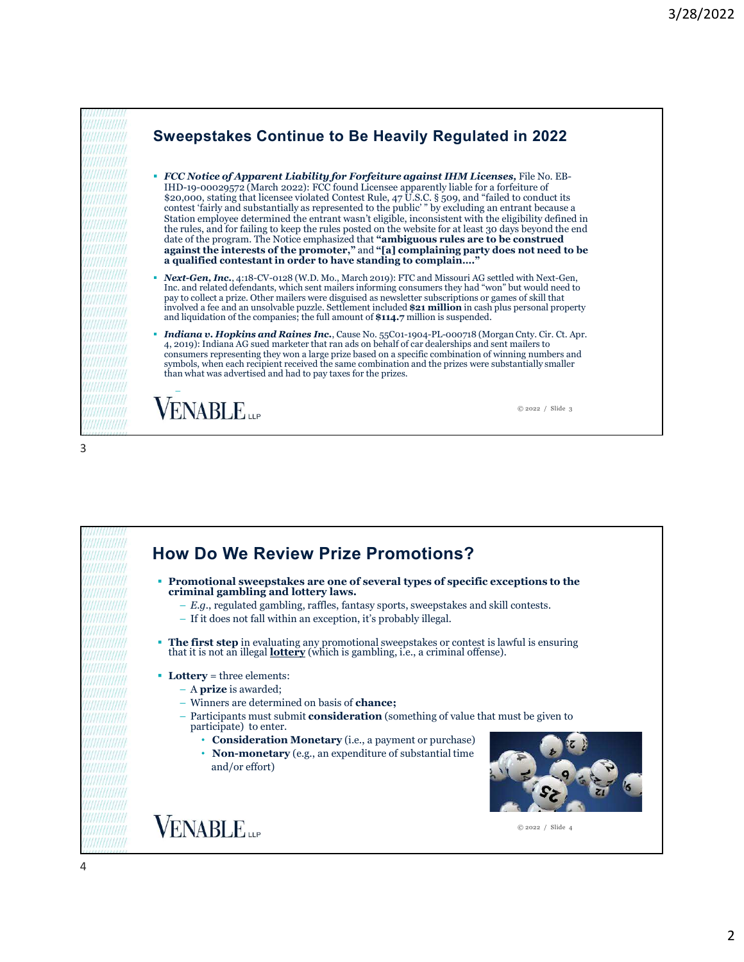

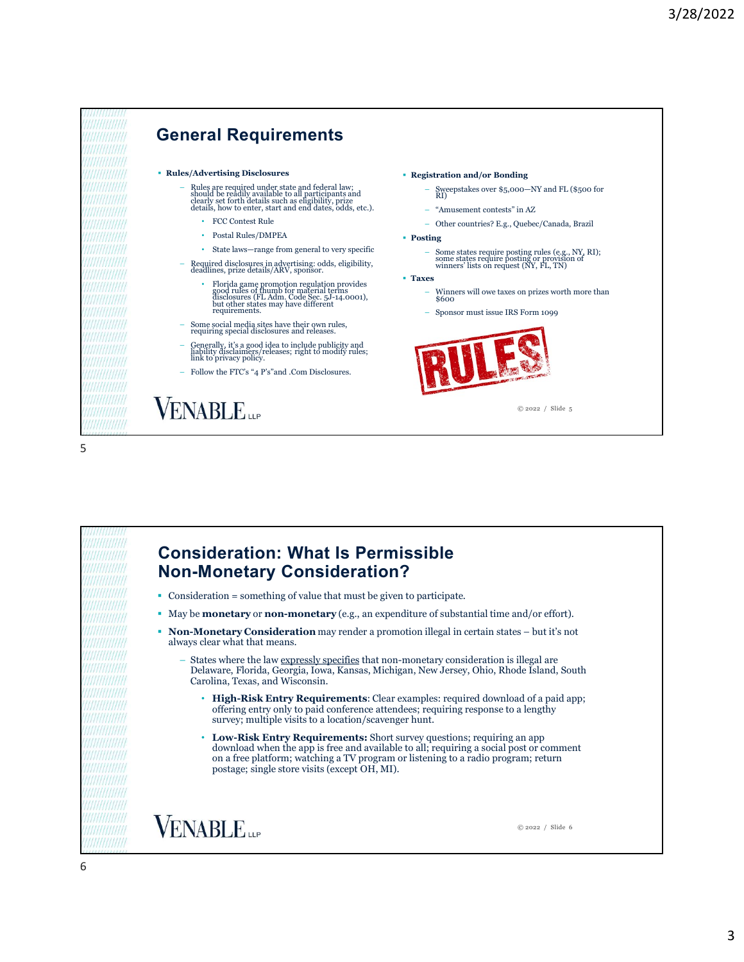

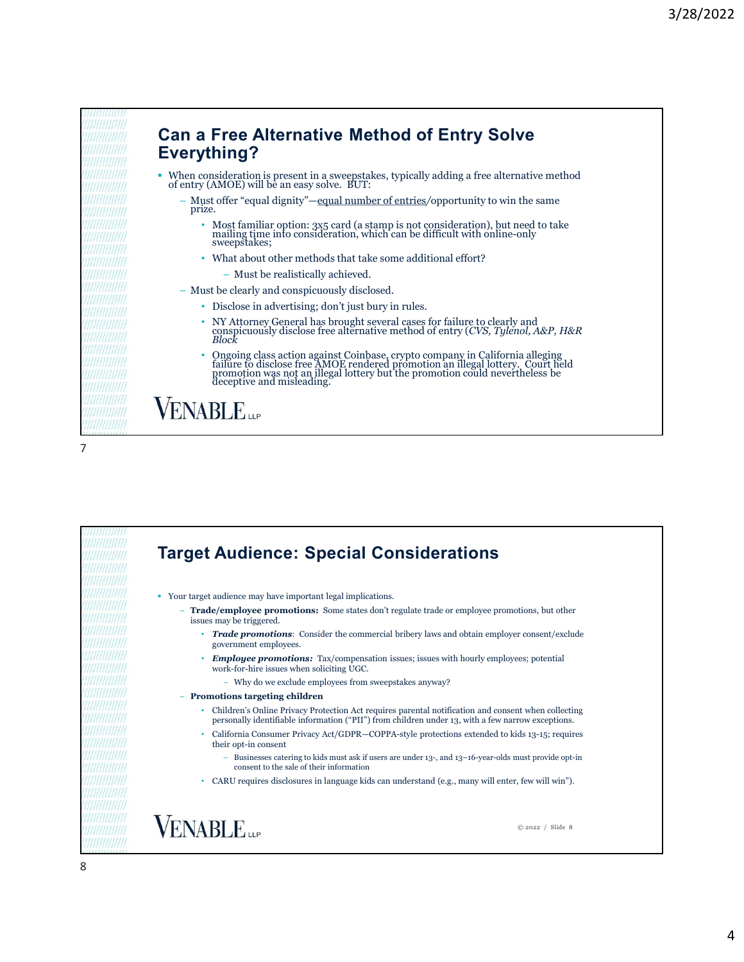

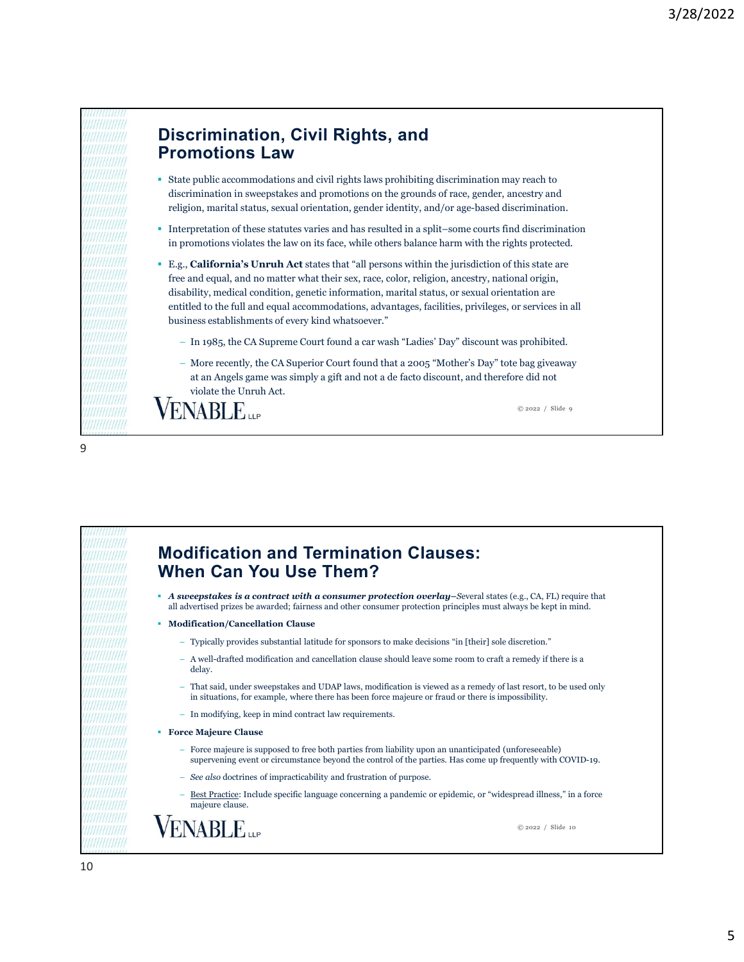## Discrimination, Civil Rights, and Promotions Law

- State public accommodations and civil rights laws prohibiting discrimination may reach to discrimination in sweepstakes and promotions on the grounds of race, gender, ancestry and religion, marital status, sexual orientation, gender identity, and/or age-based discrimination.
- Interpretation of these statutes varies and has resulted in a split–some courts find discrimination in promotions violates the law on its face, while others balance harm with the rights protected.
- E.g., California's Unruh Act states that "all persons within the jurisdiction of this state are free and equal, and no matter what their sex, race, color, religion, ancestry, national origin, disability, medical condition, genetic information, marital status, or sexual orientation are entitled to the full and equal accommodations, advantages, facilities, privileges, or services in all business establishments of every kind whatsoever." **Scrimination, Civil Rights, and**<br>
the public accommodations and civil rights laws prohibiting discrimination may reach to<br>
contrinuintion in sweepstakes and promotions on the ground of rece, gender, ancestry and<br>
igion,
	-
	- at an Angels game was simply a gift and not a de facto discount, and therefore did not violate the Unruh Act.

© 2022 / Slide 9

9

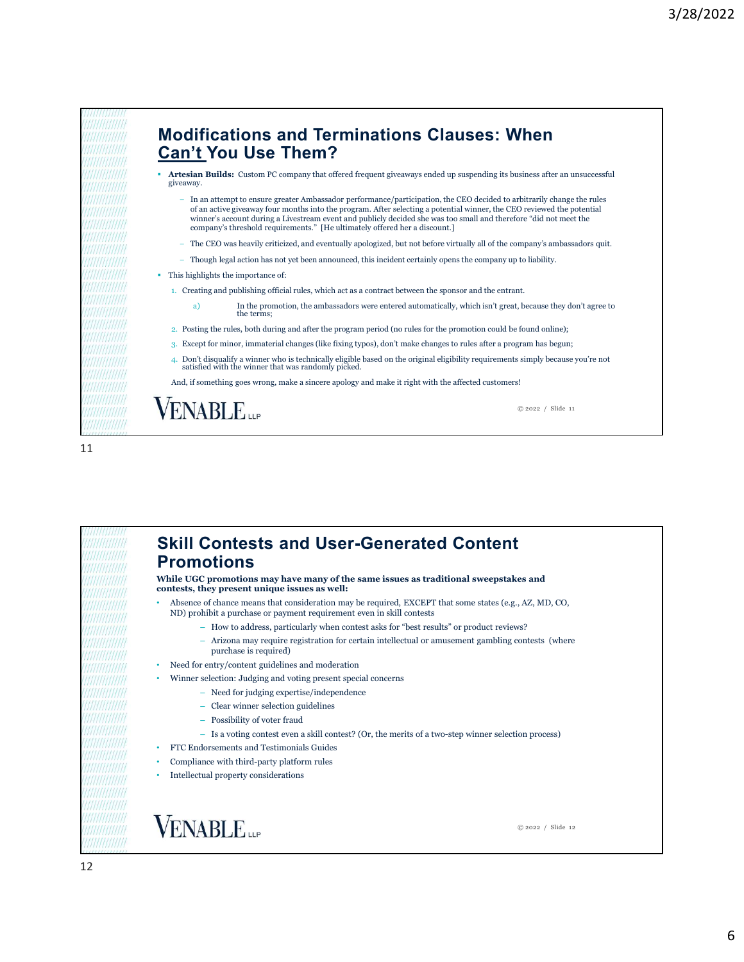

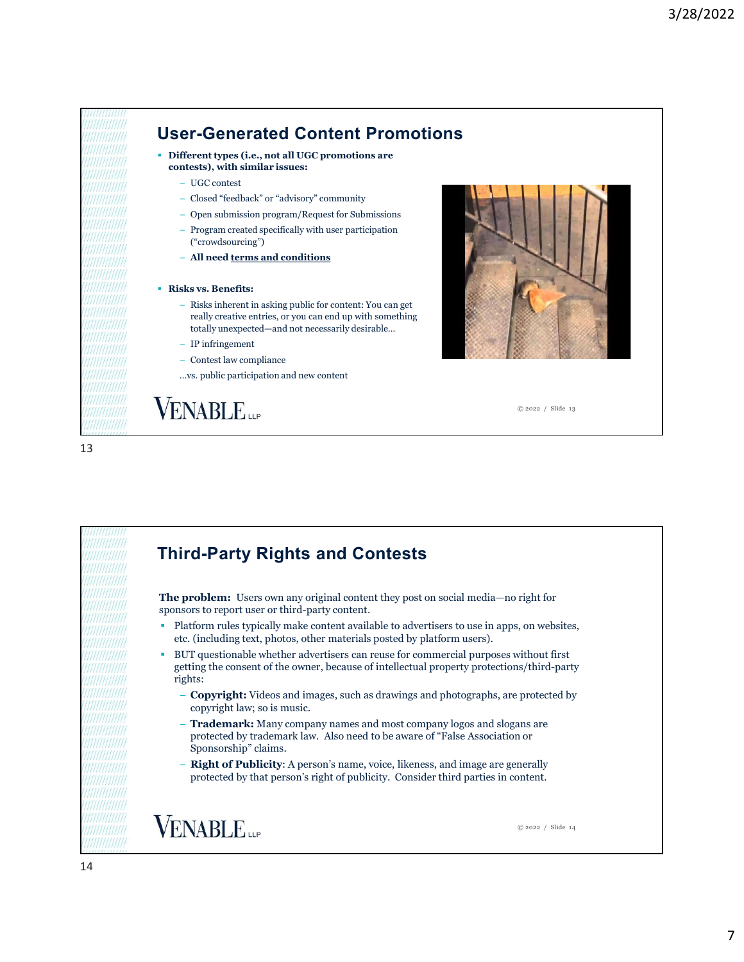

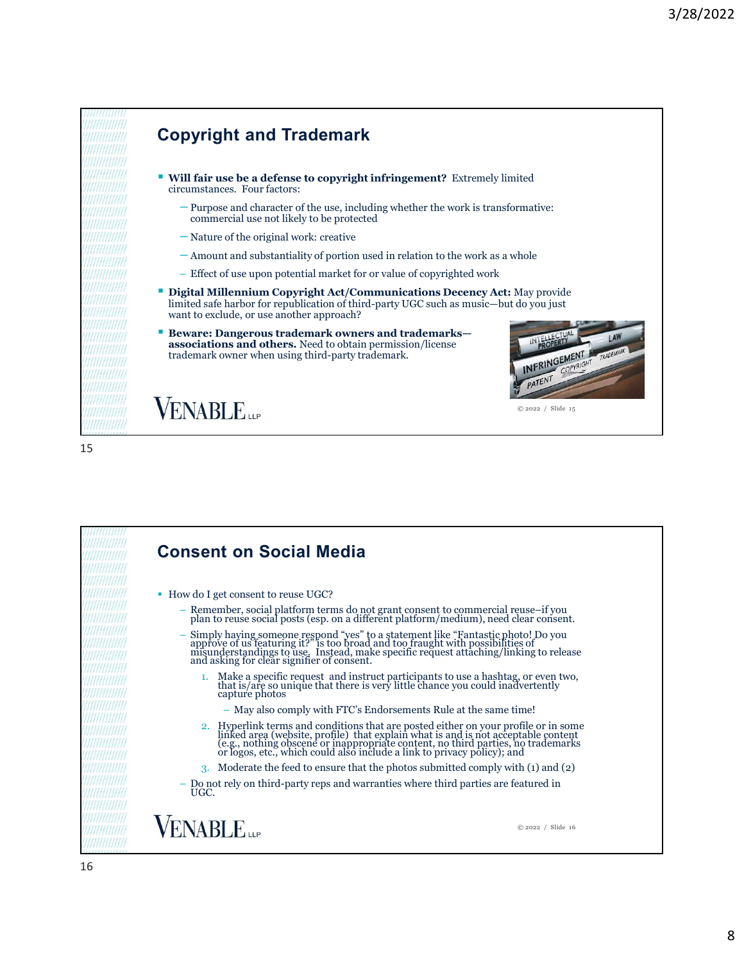

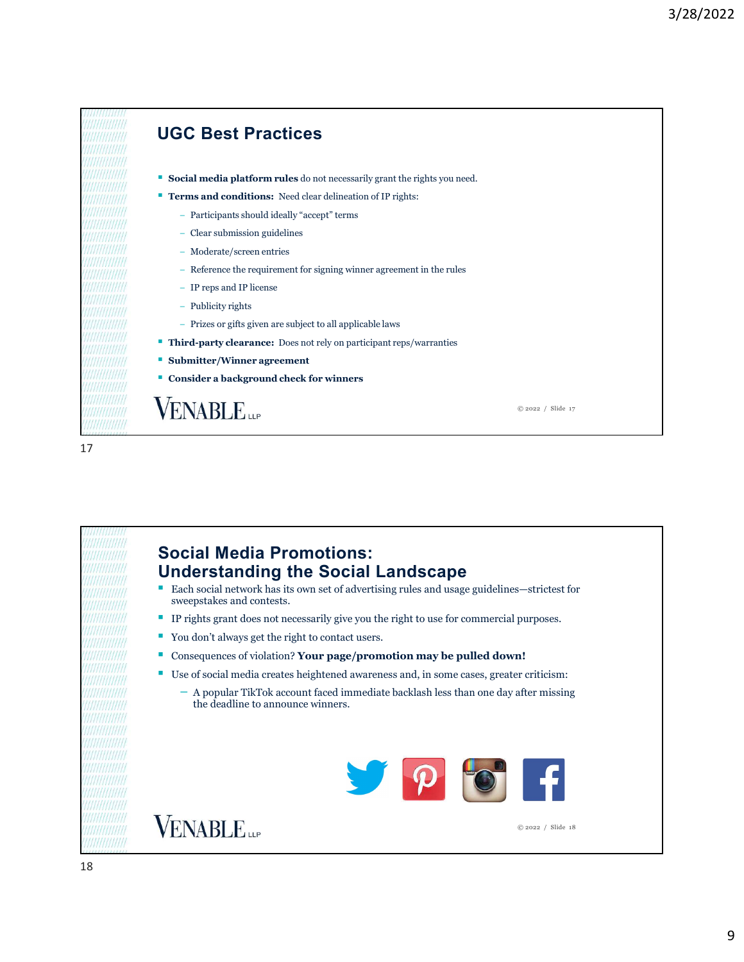

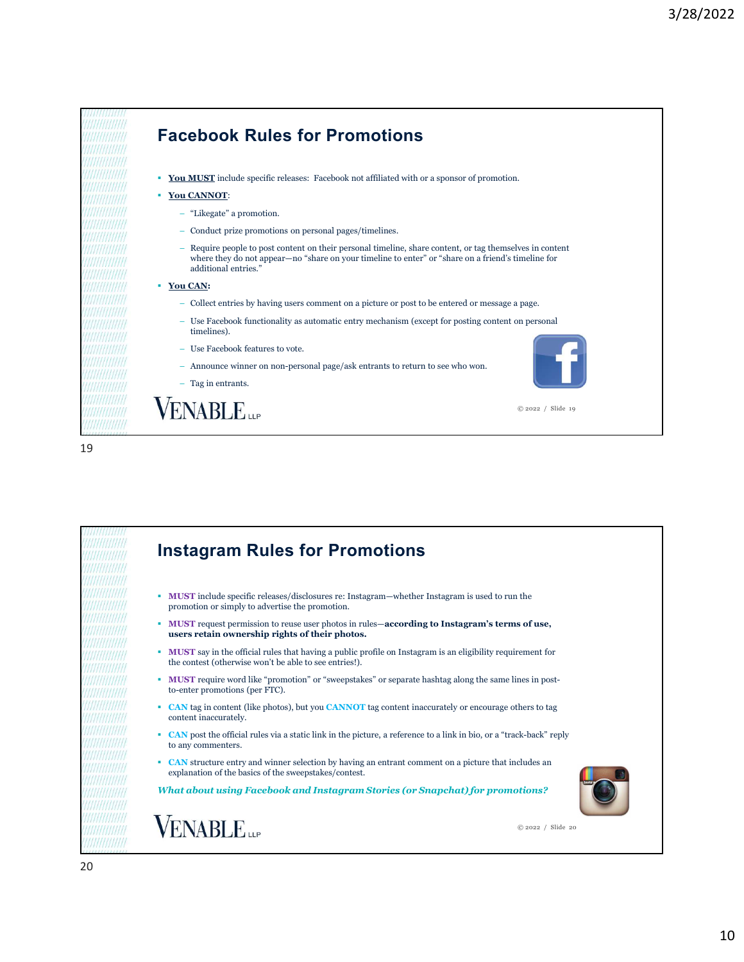

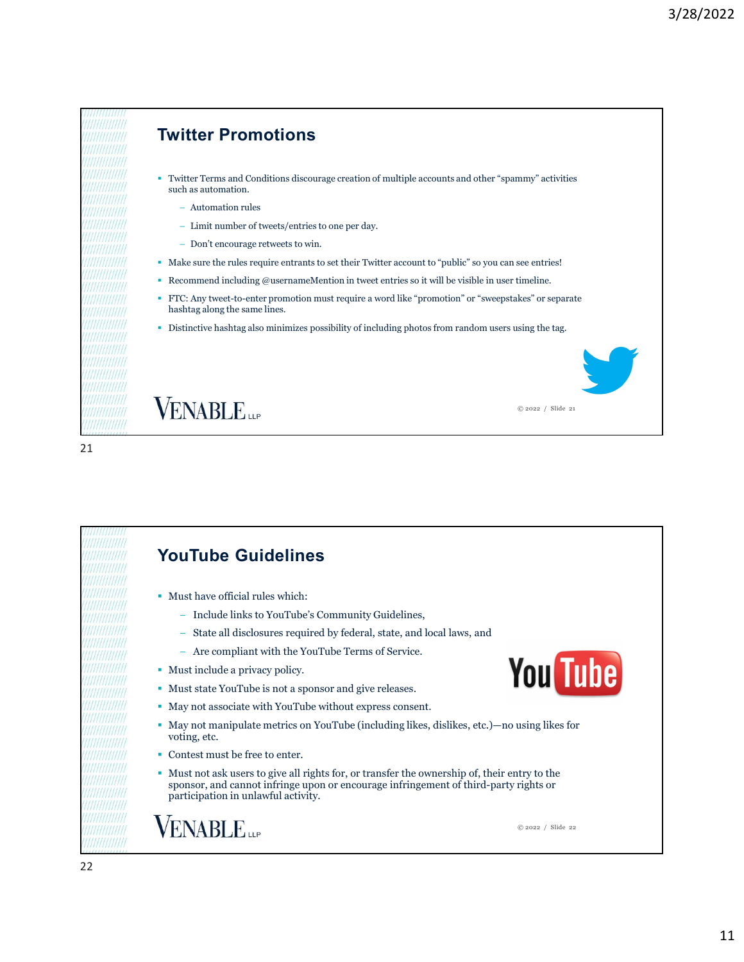



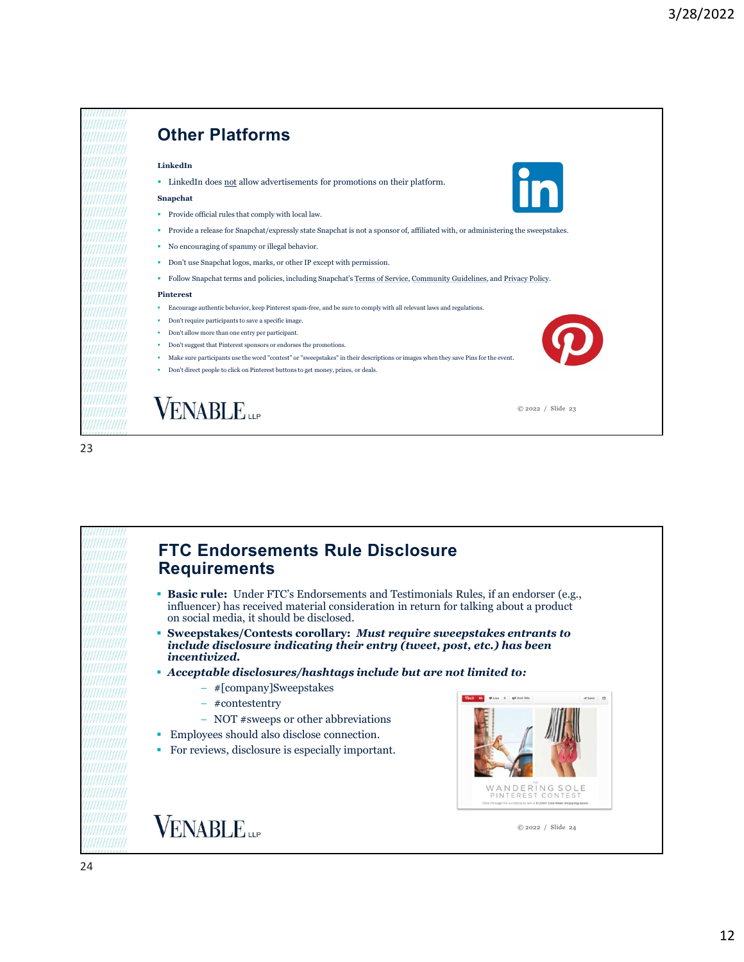



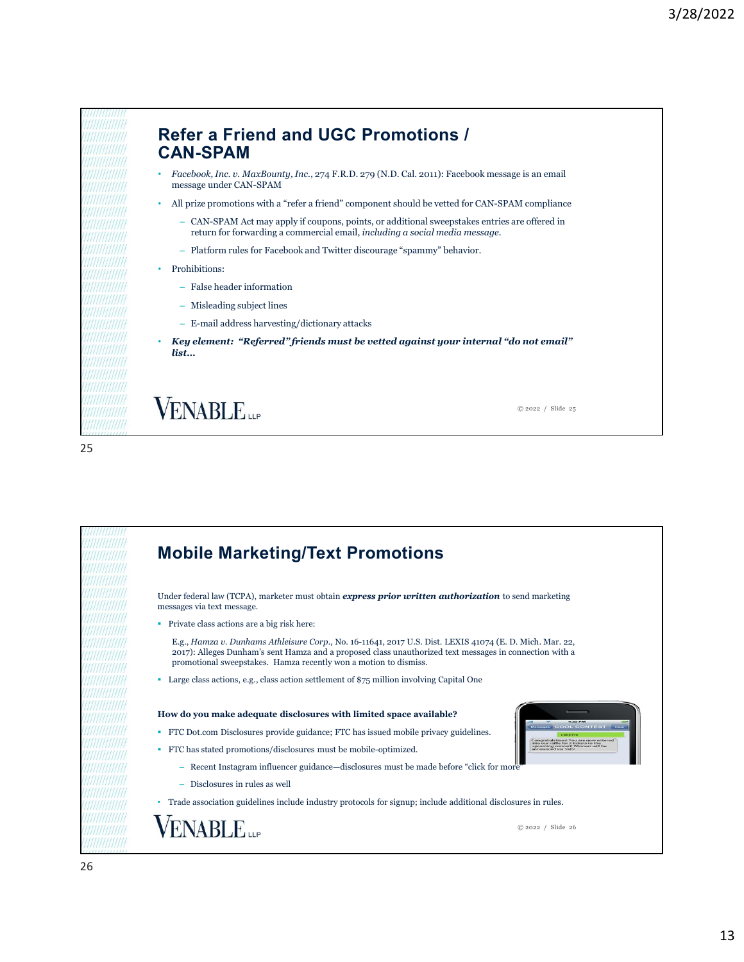

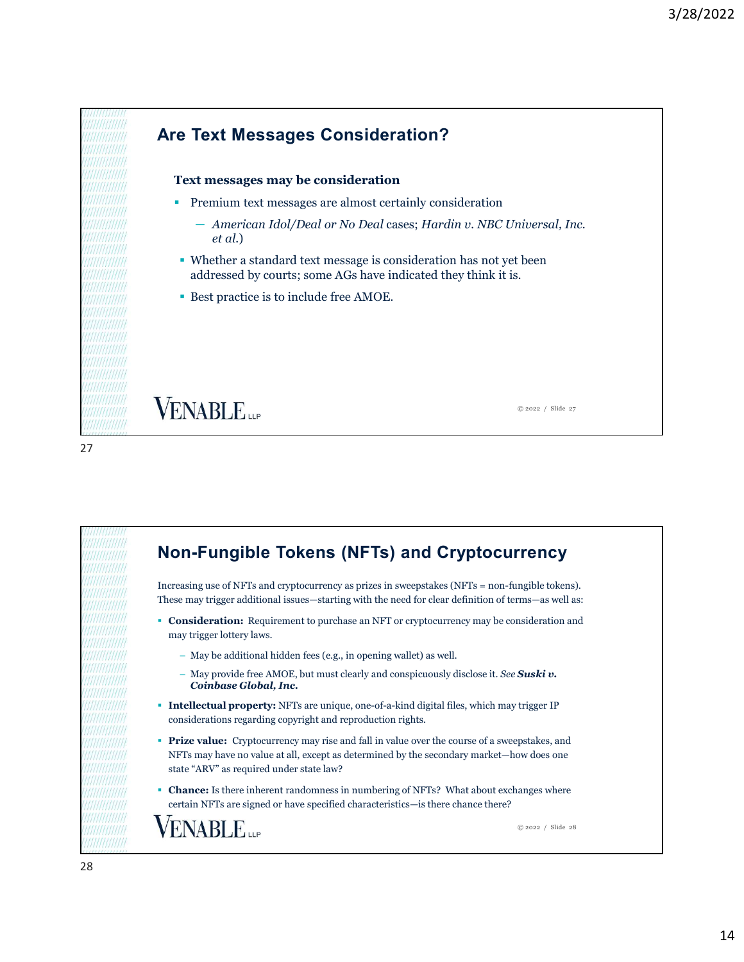

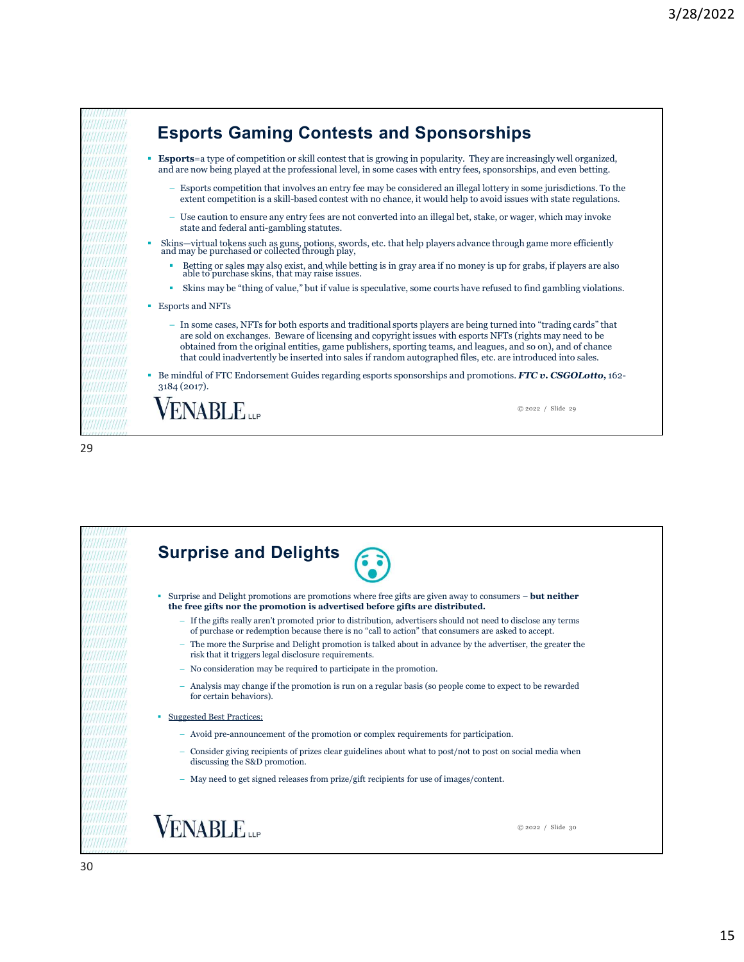

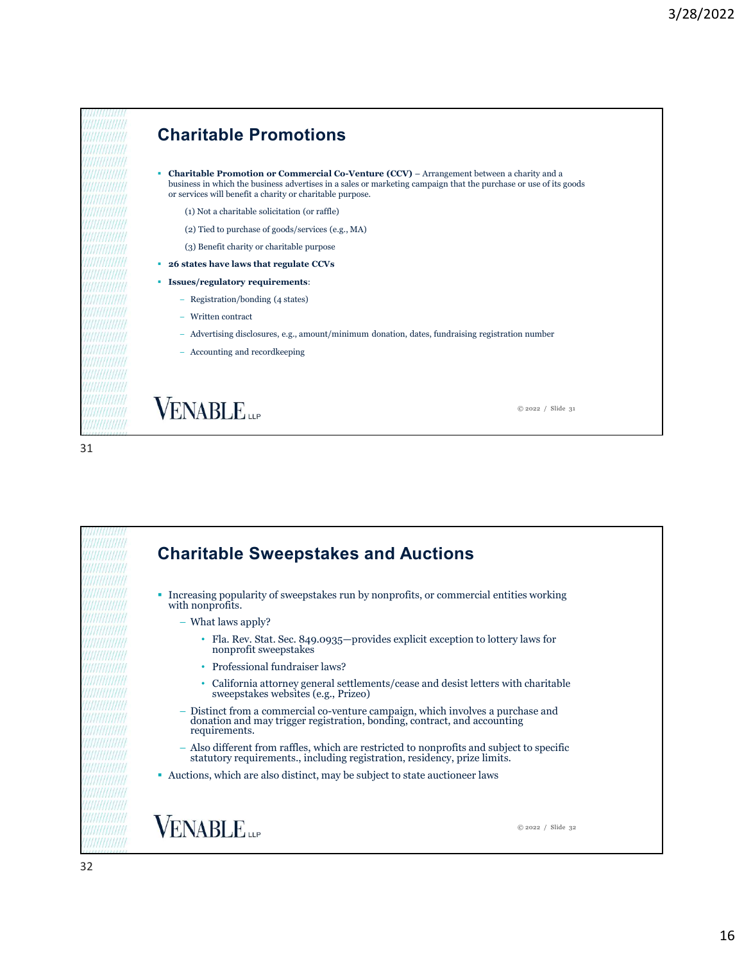

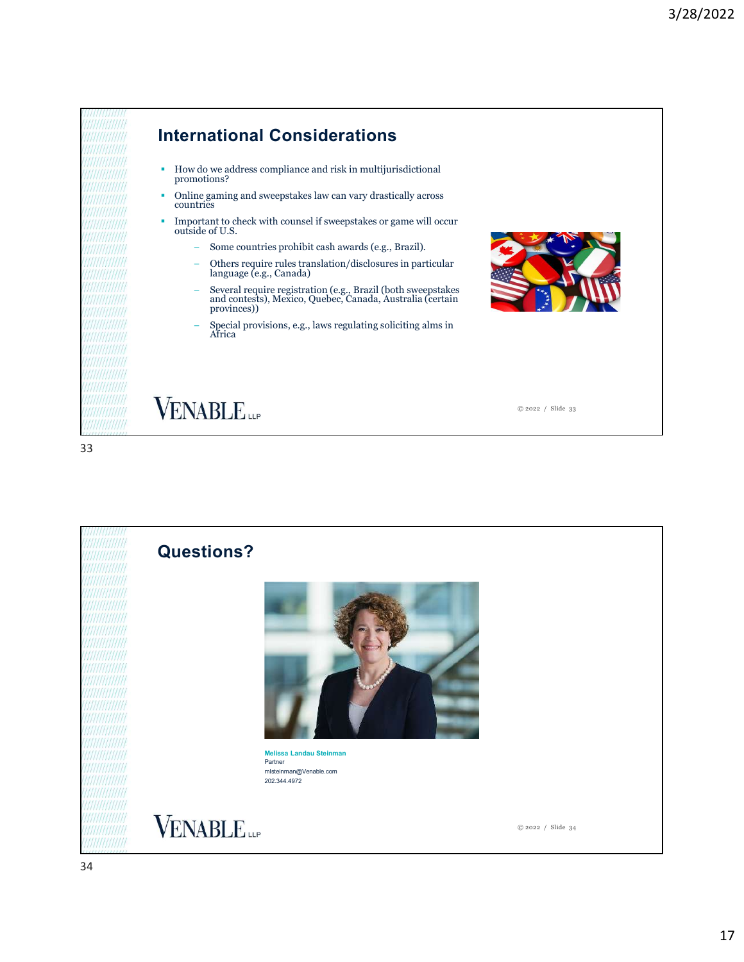